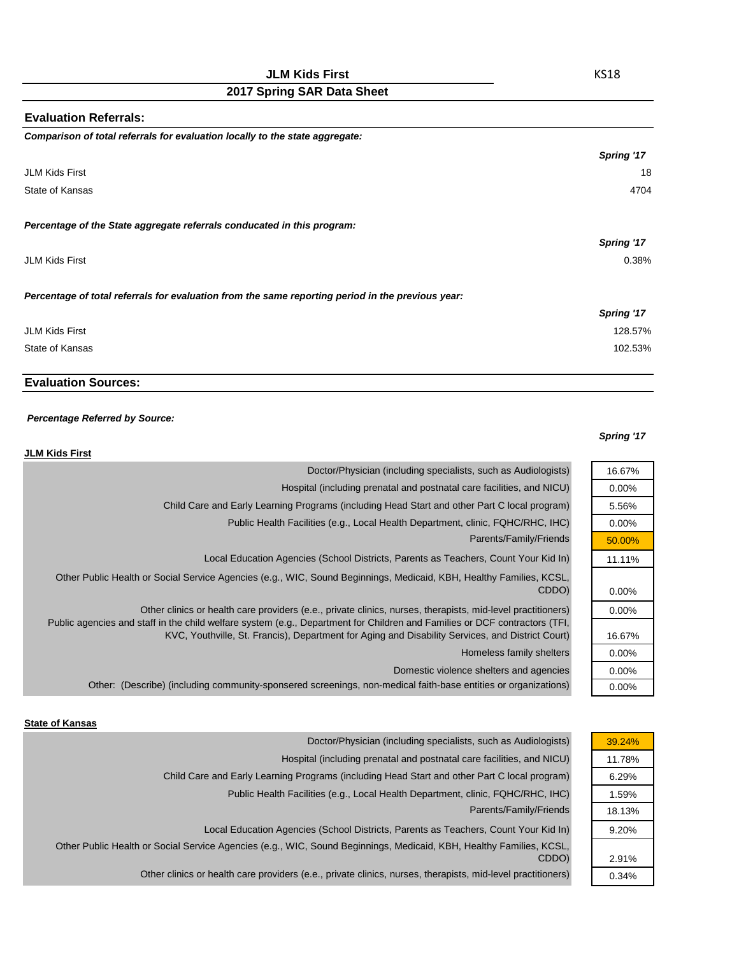| <b>Evaluation Referrals:</b>                                                                      |            |
|---------------------------------------------------------------------------------------------------|------------|
| Comparison of total referrals for evaluation locally to the state aggregate:                      |            |
|                                                                                                   | Spring '17 |
| <b>JLM Kids First</b>                                                                             | 18         |
| State of Kansas                                                                                   | 4704       |
| Percentage of the State aggregate referrals conducated in this program:                           |            |
|                                                                                                   | Spring '17 |
| <b>JLM Kids First</b>                                                                             | 0.38%      |
| Percentage of total referrals for evaluation from the same reporting period in the previous year: |            |
|                                                                                                   | Spring '17 |
| <b>JLM Kids First</b>                                                                             | 128.57%    |
| State of Kansas                                                                                   | 102.53%    |

# **Evaluation Sources:**

### *Percentage Referred by Source:*

#### *Spring '17*

16.67% 0.00% 5.56% 0.00% 50.00% 11.11%

0.00% 0.00%

16.67% 0.00% 0.00% 0.00%

| <b>JLM Kids First</b>                                                                                                                                                                                                                                                                                                                         |  |
|-----------------------------------------------------------------------------------------------------------------------------------------------------------------------------------------------------------------------------------------------------------------------------------------------------------------------------------------------|--|
| Doctor/Physician (including specialists, such as Audiologists)                                                                                                                                                                                                                                                                                |  |
| Hospital (including prenatal and postnatal care facilities, and NICU)                                                                                                                                                                                                                                                                         |  |
| Child Care and Early Learning Programs (including Head Start and other Part C local program)                                                                                                                                                                                                                                                  |  |
| Public Health Facilities (e.g., Local Health Department, clinic, FQHC/RHC, IHC)                                                                                                                                                                                                                                                               |  |
| Parents/Family/Friends                                                                                                                                                                                                                                                                                                                        |  |
| Local Education Agencies (School Districts, Parents as Teachers, Count Your Kid In)                                                                                                                                                                                                                                                           |  |
| Other Public Health or Social Service Agencies (e.g., WIC, Sound Beginnings, Medicaid, KBH, Healthy Families, KCSL,<br>CDDO)                                                                                                                                                                                                                  |  |
| Other clinics or health care providers (e.e., private clinics, nurses, therapists, mid-level practitioners)<br>Public agencies and staff in the child welfare system (e.g., Department for Children and Families or DCF contractors (TFI,<br>KVC, Youthville, St. Francis), Department for Aging and Disability Services, and District Court) |  |
| Homeless family shelters                                                                                                                                                                                                                                                                                                                      |  |
| Domestic violence shelters and agencies                                                                                                                                                                                                                                                                                                       |  |
| Other: (Describe) (including community-sponsered screenings, non-medical faith-base entities or organizations)                                                                                                                                                                                                                                |  |

#### **State of Kansas**

|                                                                                                                                                                                                                                                                                                                                             | 39.24%                                                                                                                                                                                                                                                                                                                                      |
|---------------------------------------------------------------------------------------------------------------------------------------------------------------------------------------------------------------------------------------------------------------------------------------------------------------------------------------------|---------------------------------------------------------------------------------------------------------------------------------------------------------------------------------------------------------------------------------------------------------------------------------------------------------------------------------------------|
|                                                                                                                                                                                                                                                                                                                                             | 11.78%                                                                                                                                                                                                                                                                                                                                      |
|                                                                                                                                                                                                                                                                                                                                             | 6.29%                                                                                                                                                                                                                                                                                                                                       |
|                                                                                                                                                                                                                                                                                                                                             | 1.59%                                                                                                                                                                                                                                                                                                                                       |
|                                                                                                                                                                                                                                                                                                                                             | 18.13%                                                                                                                                                                                                                                                                                                                                      |
|                                                                                                                                                                                                                                                                                                                                             | 9.20%                                                                                                                                                                                                                                                                                                                                       |
|                                                                                                                                                                                                                                                                                                                                             |                                                                                                                                                                                                                                                                                                                                             |
|                                                                                                                                                                                                                                                                                                                                             | 2.91%                                                                                                                                                                                                                                                                                                                                       |
|                                                                                                                                                                                                                                                                                                                                             | 0.34%                                                                                                                                                                                                                                                                                                                                       |
| Child Care and Early Learning Programs (including Head Start and other Part C local program)<br>Other Public Health or Social Service Agencies (e.g., WIC, Sound Beginnings, Medicaid, KBH, Healthy Families, KCSL,<br>CDDO)<br>Other clinics or health care providers (e.e., private clinics, nurses, therapists, mid-level practitioners) | Doctor/Physician (including specialists, such as Audiologists)<br>Hospital (including prenatal and postnatal care facilities, and NICU)<br>Public Health Facilities (e.g., Local Health Department, clinic, FQHC/RHC, IHC)<br>Parents/Family/Friends<br>Local Education Agencies (School Districts, Parents as Teachers, Count Your Kid In) |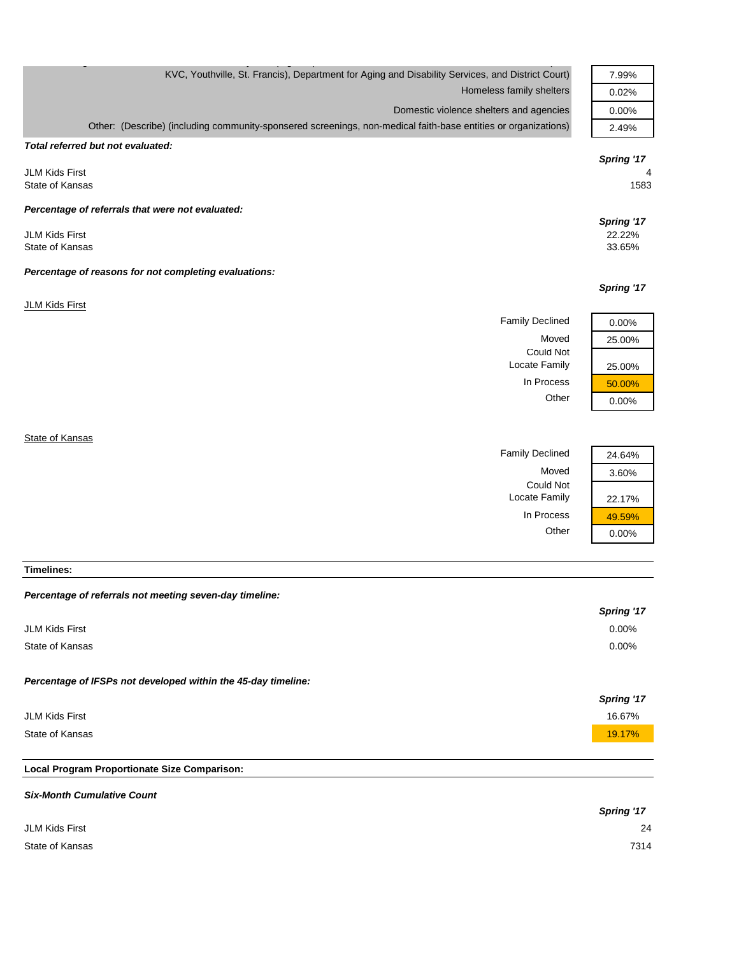| KVC, Youthville, St. Francis), Department for Aging and Disability Services, and District Court)               | 7.99%            |
|----------------------------------------------------------------------------------------------------------------|------------------|
| Homeless family shelters                                                                                       | 0.02%            |
| Domestic violence shelters and agencies                                                                        | 0.00%            |
| Other: (Describe) (including community-sponsered screenings, non-medical faith-base entities or organizations) | 2.49%            |
| Total referred but not evaluated:                                                                              |                  |
|                                                                                                                | Spring '17       |
| <b>JLM Kids First</b>                                                                                          | 4                |
| State of Kansas                                                                                                | 1583             |
| Percentage of referrals that were not evaluated:                                                               |                  |
|                                                                                                                | Spring '17       |
| <b>JLM Kids First</b><br>State of Kansas                                                                       | 22.22%<br>33.65% |
|                                                                                                                |                  |
| Percentage of reasons for not completing evaluations:                                                          |                  |
|                                                                                                                | Spring '17       |
| <b>JLM Kids First</b>                                                                                          |                  |
| <b>Family Declined</b>                                                                                         | 0.00%            |
| Moved                                                                                                          | 25.00%           |
| <b>Could Not</b>                                                                                               |                  |
| Locate Family                                                                                                  | 25.00%           |
| In Process                                                                                                     | 50.00%           |
| Other                                                                                                          | 0.00%            |
|                                                                                                                |                  |
| State of Kansas                                                                                                |                  |

Family Declined 24.64% Moved 3.60% Could Not Locate Family 22.17% In Process  $\frac{49.59\%}{0.00\%}$  $0.00%$ 

**Timelines:**

|  |  | Percentage of referrals not meeting seven-day timeline: |  |  |
|--|--|---------------------------------------------------------|--|--|
|--|--|---------------------------------------------------------|--|--|

|                                                               | Spring '17        |
|---------------------------------------------------------------|-------------------|
| JLM Kids First                                                | $0.00\%$          |
| State of Kansas                                               | $0.00\%$          |
|                                                               |                   |
| Percentage of IFSPs not developed within the 45-day timeline: |                   |
|                                                               | <b>Spring '17</b> |
| JLM Kids First                                                | 16.67%            |
| State of Kansas                                               | 19.17%            |
|                                                               |                   |

# **Local Program Proportionate Size Comparison:**

| <b>Six-Month Cumulative Count</b> |            |
|-----------------------------------|------------|
|                                   | Spring '17 |
| JLM Kids First                    | 24         |
| State of Kansas                   | 7314       |